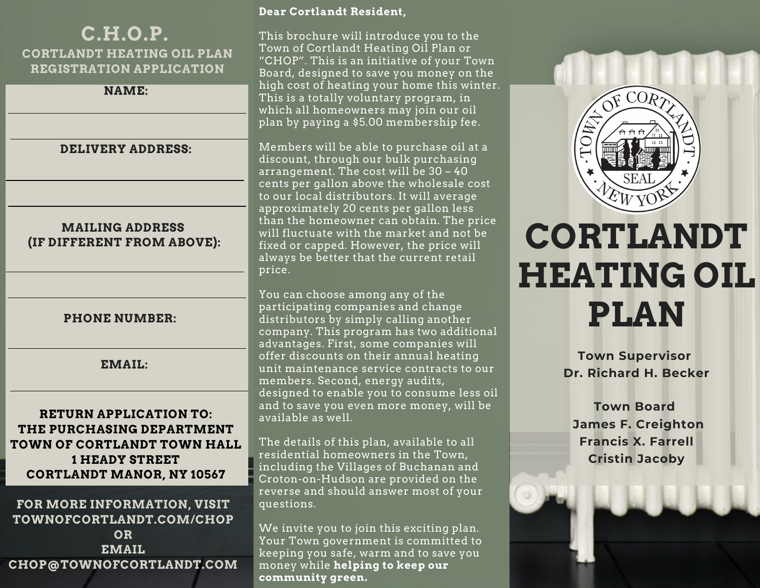# **C.H.O.P. CORTLANDT HEATING OIL PLAN REGISTRATION APPLICATION**

| <b>NAME:</b> |  |
|--------------|--|
|--------------|--|

# **DELIVERY ADDRESS:**

## **MAILING ADDRESS (IF DIFFERENT FROM ABOVE):**

## **PHONE NUMBER:**

# **EMAIL:**

# **RETURN APPLICATION TO: THE PURCHASING DEPARTMENT TOWN OF CORTLANDT TOWN HALL 1 HEADY STREET CORTLANDT MANOR, NY 10567**

# **FOR MORE INFORMATION, VISIT TOWNOFCORTLANDT.COM/CHOP OR EMAIL CHOP@TOWNOFCORTLANDT.COM**

#### **Dear Cortlandt Resident,**

This brochure will introduce you to the Town of Cortlandt Heating Oil Plan or "CHOP". This is an initiative of your Town Board, designed to save you money on the high cost of heating your home this winter. This is a totally voluntary program, in which all homeowners may join our oil plan by paying a \$5.00 membership fee.

Members will be able to purchase oil at a discount, through our bulk purchasing arrangement. The cost will be 30 – 40 cents per gallon above the wholesale cost to our local distributors. It will average approximately 20 cents per gallon less than the homeowner can obtain. The price will fluctuate with the market and not be fixed or capped. However, the price will always be better that the current retail price.

You can choose among any of the participating companies and change distributors by simply calling another company. This program has two additional advantages. First, some companies will offer discounts on their annual heating unit maintenance service contracts to our members. Second, energy audits, designed to enable you to consume less oil and to save you even more money, will be available as well.

The details of this plan, available to all residential homeowners in the Town, including the Villages of Buchanan and Croton-on-Hudson are provided on the reverse and should answer most of your questions.

We invite you to join this exciting plan. Your Town government is committed to keeping you safe, warm and to save you money while **helping to keep our community green.**



# **CORTLANDT HEATING OIL PLAN**

**Town Supervisor Dr. Richard H. Becker**

**Town Board James F. Creighton Francis X. Farrell Cristin Jacoby**